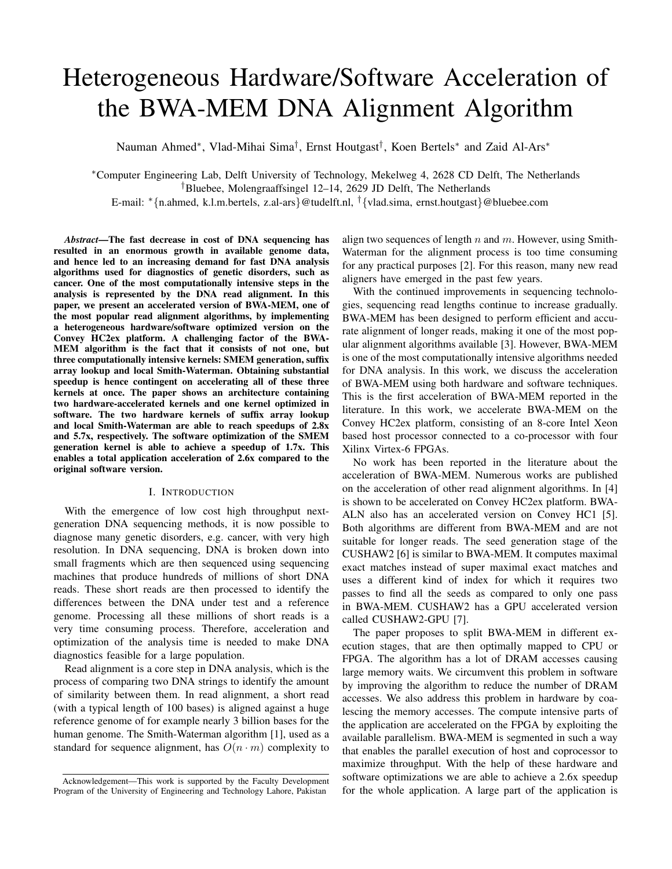# Heterogeneous Hardware/Software Acceleration of the BWA-MEM DNA Alignment Algorithm

Nauman Ahmed\*, Vlad-Mihai Sima<sup>†</sup>, Ernst Houtgast<sup>†</sup>, Koen Bertels\* and Zaid Al-Ars\*

<sup>∗</sup>Computer Engineering Lab, Delft University of Technology, Mekelweg 4, 2628 CD Delft, The Netherlands †Bluebee, Molengraaffsingel 12–14, 2629 JD Delft, The Netherlands E-mail: <sup>∗</sup>{n.ahmed, k.l.m.bertels, z.al-ars}@tudelft.nl, †{vlad.sima, ernst.houtgast}@bluebee.com

*Abstract*—The fast decrease in cost of DNA sequencing has resulted in an enormous growth in available genome data, and hence led to an increasing demand for fast DNA analysis algorithms used for diagnostics of genetic disorders, such as cancer. One of the most computationally intensive steps in the analysis is represented by the DNA read alignment. In this paper, we present an accelerated version of BWA-MEM, one of the most popular read alignment algorithms, by implementing a heterogeneous hardware/software optimized version on the Convey HC2ex platform. A challenging factor of the BWA-MEM algorithm is the fact that it consists of not one, but three computationally intensive kernels: SMEM generation, suffix array lookup and local Smith-Waterman. Obtaining substantial speedup is hence contingent on accelerating all of these three kernels at once. The paper shows an architecture containing two hardware-accelerated kernels and one kernel optimized in software. The two hardware kernels of suffix array lookup and local Smith-Waterman are able to reach speedups of 2.8x and 5.7x, respectively. The software optimization of the SMEM generation kernel is able to achieve a speedup of 1.7x. This enables a total application acceleration of 2.6x compared to the original software version.

## I. INTRODUCTION

With the emergence of low cost high throughput nextgeneration DNA sequencing methods, it is now possible to diagnose many genetic disorders, e.g. cancer, with very high resolution. In DNA sequencing, DNA is broken down into small fragments which are then sequenced using sequencing machines that produce hundreds of millions of short DNA reads. These short reads are then processed to identify the differences between the DNA under test and a reference genome. Processing all these millions of short reads is a very time consuming process. Therefore, acceleration and optimization of the analysis time is needed to make DNA diagnostics feasible for a large population.

Read alignment is a core step in DNA analysis, which is the process of comparing two DNA strings to identify the amount of similarity between them. In read alignment, a short read (with a typical length of 100 bases) is aligned against a huge reference genome of for example nearly 3 billion bases for the human genome. The Smith-Waterman algorithm [1], used as a standard for sequence alignment, has  $O(n \cdot m)$  complexity to align two sequences of length  $n$  and  $m$ . However, using Smith-Waterman for the alignment process is too time consuming for any practical purposes [2]. For this reason, many new read aligners have emerged in the past few years.

With the continued improvements in sequencing technologies, sequencing read lengths continue to increase gradually. BWA-MEM has been designed to perform efficient and accurate alignment of longer reads, making it one of the most popular alignment algorithms available [3]. However, BWA-MEM is one of the most computationally intensive algorithms needed for DNA analysis. In this work, we discuss the acceleration of BWA-MEM using both hardware and software techniques. This is the first acceleration of BWA-MEM reported in the literature. In this work, we accelerate BWA-MEM on the Convey HC2ex platform, consisting of an 8-core Intel Xeon based host processor connected to a co-processor with four Xilinx Virtex-6 FPGAs.

No work has been reported in the literature about the acceleration of BWA-MEM. Numerous works are published on the acceleration of other read alignment algorithms. In [4] is shown to be accelerated on Convey HC2ex platform. BWA-ALN also has an accelerated version on Convey HC1 [5]. Both algorithms are different from BWA-MEM and are not suitable for longer reads. The seed generation stage of the CUSHAW2 [6] is similar to BWA-MEM. It computes maximal exact matches instead of super maximal exact matches and uses a different kind of index for which it requires two passes to find all the seeds as compared to only one pass in BWA-MEM. CUSHAW2 has a GPU accelerated version called CUSHAW2-GPU [7].

The paper proposes to split BWA-MEM in different execution stages, that are then optimally mapped to CPU or FPGA. The algorithm has a lot of DRAM accesses causing large memory waits. We circumvent this problem in software by improving the algorithm to reduce the number of DRAM accesses. We also address this problem in hardware by coalescing the memory accesses. The compute intensive parts of the application are accelerated on the FPGA by exploiting the available parallelism. BWA-MEM is segmented in such a way that enables the parallel execution of host and coprocessor to maximize throughput. With the help of these hardware and software optimizations we are able to achieve a 2.6x speedup for the whole application. A large part of the application is

Acknowledgement—This work is supported by the Faculty Development Program of the University of Engineering and Technology Lahore, Pakistan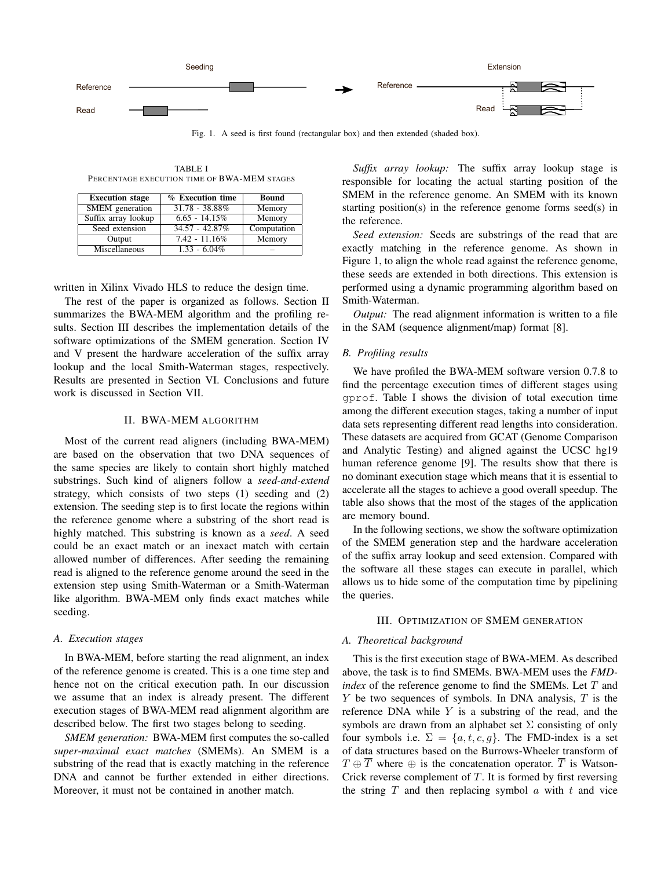

Fig. 1. A seed is first found (rectangular box) and then extended (shaded box).

TABLE I PERCENTAGE EXECUTION TIME OF BWA-MEM STAGES

| <b>Execution</b> stage | % Execution time  | <b>Bound</b> |
|------------------------|-------------------|--------------|
| SMEM generation        | $31.78 - 38.88\%$ | Memory       |
| Suffix array lookup    | $6.65 - 14.15\%$  | Memory       |
| Seed extension         | 34.57 - 42.87%    | Computation  |
| Output                 | $7.42 - 11.16\%$  | Memory       |
| Miscellaneous          | $1.33 - 6.04\%$   |              |

written in Xilinx Vivado HLS to reduce the design time.

The rest of the paper is organized as follows. Section II summarizes the BWA-MEM algorithm and the profiling results. Section III describes the implementation details of the software optimizations of the SMEM generation. Section IV and V present the hardware acceleration of the suffix array lookup and the local Smith-Waterman stages, respectively. Results are presented in Section VI. Conclusions and future work is discussed in Section VII.

## II. BWA-MEM ALGORITHM

Most of the current read aligners (including BWA-MEM) are based on the observation that two DNA sequences of the same species are likely to contain short highly matched substrings. Such kind of aligners follow a *seed-and-extend* strategy, which consists of two steps (1) seeding and (2) extension. The seeding step is to first locate the regions within the reference genome where a substring of the short read is highly matched. This substring is known as a *seed*. A seed could be an exact match or an inexact match with certain allowed number of differences. After seeding the remaining read is aligned to the reference genome around the seed in the extension step using Smith-Waterman or a Smith-Waterman like algorithm. BWA-MEM only finds exact matches while seeding.

# *A. Execution stages*

In BWA-MEM, before starting the read alignment, an index of the reference genome is created. This is a one time step and hence not on the critical execution path. In our discussion we assume that an index is already present. The different execution stages of BWA-MEM read alignment algorithm are described below. The first two stages belong to seeding.

*SMEM generation:* BWA-MEM first computes the so-called *super-maximal exact matches* (SMEMs). An SMEM is a substring of the read that is exactly matching in the reference DNA and cannot be further extended in either directions. Moreover, it must not be contained in another match.

*Suffix array lookup:* The suffix array lookup stage is responsible for locating the actual starting position of the SMEM in the reference genome. An SMEM with its known starting position(s) in the reference genome forms seed(s) in the reference.

*Seed extension:* Seeds are substrings of the read that are exactly matching in the reference genome. As shown in Figure 1, to align the whole read against the reference genome, these seeds are extended in both directions. This extension is performed using a dynamic programming algorithm based on Smith-Waterman.

*Output:* The read alignment information is written to a file in the SAM (sequence alignment/map) format [8].

## *B. Profiling results*

We have profiled the BWA-MEM software version 0.7.8 to find the percentage execution times of different stages using gprof. Table I shows the division of total execution time among the different execution stages, taking a number of input data sets representing different read lengths into consideration. These datasets are acquired from GCAT (Genome Comparison and Analytic Testing) and aligned against the UCSC hg19 human reference genome [9]. The results show that there is no dominant execution stage which means that it is essential to accelerate all the stages to achieve a good overall speedup. The table also shows that the most of the stages of the application are memory bound.

In the following sections, we show the software optimization of the SMEM generation step and the hardware acceleration of the suffix array lookup and seed extension. Compared with the software all these stages can execute in parallel, which allows us to hide some of the computation time by pipelining the queries.

# III. OPTIMIZATION OF SMEM GENERATION

# *A. Theoretical background*

This is the first execution stage of BWA-MEM. As described above, the task is to find SMEMs. BWA-MEM uses the *FMDindex* of the reference genome to find the SMEMs. Let T and  $Y$  be two sequences of symbols. In DNA analysis,  $T$  is the reference DNA while  $Y$  is a substring of the read, and the symbols are drawn from an alphabet set  $\Sigma$  consisting of only four symbols i.e.  $\Sigma = \{a, t, c, q\}$ . The FMD-index is a set of data structures based on the Burrows-Wheeler transform of  $T \oplus \overline{T}$  where  $\oplus$  is the concatenation operator.  $\overline{T}$  is Watson-Crick reverse complement of  $T$ . It is formed by first reversing the string  $T$  and then replacing symbol  $a$  with  $t$  and vice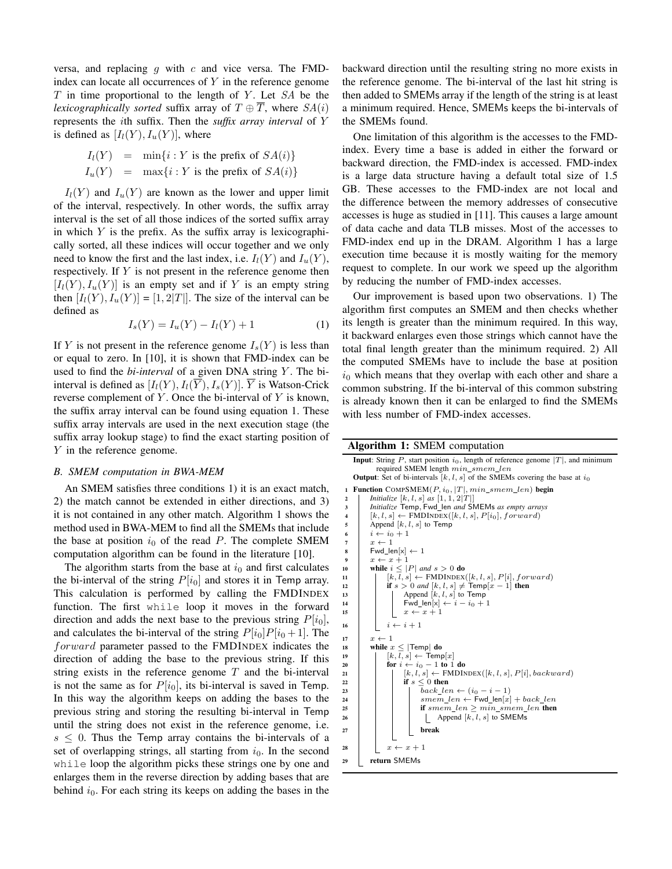versa, and replacing q with c and vice versa. The FMDindex can locate all occurrences of  $Y$  in the reference genome  $T$  in time proportional to the length of Y. Let  $SA$  be the *lexicographically sorted* suffix array of  $T \oplus \overline{T}$ , where  $SA(i)$ represents the ith suffix. Then the *suffix array interval* of Y is defined as  $[I_l(Y), I_u(Y)]$ , where

$$
I_l(Y) = \min\{i : Y \text{ is the prefix of } SA(i)\}
$$
  

$$
I_u(Y) = \max\{i : Y \text{ is the prefix of } SA(i)\}
$$

 $I_l(Y)$  and  $I_u(Y)$  are known as the lower and upper limit of the interval, respectively. In other words, the suffix array interval is the set of all those indices of the sorted suffix array in which  $Y$  is the prefix. As the suffix array is lexicographically sorted, all these indices will occur together and we only need to know the first and the last index, i.e.  $I_l(Y)$  and  $I_u(Y)$ , respectively. If  $Y$  is not present in the reference genome then  $[I_l(Y), I_u(Y)]$  is an empty set and if Y is an empty string then  $[I_l(Y), I_u(Y)] = [1, 2|T|]$ . The size of the interval can be defined as

$$
I_s(Y) = I_u(Y) - I_l(Y) + 1 \tag{1}
$$

If Y is not present in the reference genome  $I_s(Y)$  is less than or equal to zero. In [10], it is shown that FMD-index can be used to find the *bi-interval* of a given DNA string Y. The biinterval is defined as  $[I_l(Y), I_l(Y), I_s(Y)]$ . Y is Watson-Crick reverse complement of  $Y$ . Once the bi-interval of  $Y$  is known, the suffix array interval can be found using equation 1. These suffix array intervals are used in the next execution stage (the suffix array lookup stage) to find the exact starting position of Y in the reference genome.

## *B. SMEM computation in BWA-MEM*

An SMEM satisfies three conditions 1) it is an exact match, 2) the match cannot be extended in either directions, and 3) it is not contained in any other match. Algorithm 1 shows the method used in BWA-MEM to find all the SMEMs that include the base at position  $i_0$  of the read P. The complete SMEM computation algorithm can be found in the literature [10].

The algorithm starts from the base at  $i_0$  and first calculates the bi-interval of the string  $P[i_0]$  and stores it in Temp array. This calculation is performed by calling the FMDINDEX function. The first while loop it moves in the forward direction and adds the next base to the previous string  $P[i_0]$ , and calculates the bi-interval of the string  $P[i_0]P[i_0 + 1]$ . The forward parameter passed to the FMDINDEX indicates the direction of adding the base to the previous string. If this string exists in the reference genome  $T$  and the bi-interval is not the same as for  $P[i_0]$ , its bi-interval is saved in Temp. In this way the algorithm keeps on adding the bases to the previous string and storing the resulting bi-interval in Temp until the string does not exist in the reference genome, i.e.  $s \leq 0$ . Thus the Temp array contains the bi-intervals of a set of overlapping strings, all starting from  $i_0$ . In the second while loop the algorithm picks these strings one by one and enlarges them in the reverse direction by adding bases that are behind  $i_0$ . For each string its keeps on adding the bases in the backward direction until the resulting string no more exists in the reference genome. The bi-interval of the last hit string is then added to SMEMs array if the length of the string is at least a minimum required. Hence, SMEMs keeps the bi-intervals of the SMEMs found.

One limitation of this algorithm is the accesses to the FMDindex. Every time a base is added in either the forward or backward direction, the FMD-index is accessed. FMD-index is a large data structure having a default total size of 1.5 GB. These accesses to the FMD-index are not local and the difference between the memory addresses of consecutive accesses is huge as studied in [11]. This causes a large amount of data cache and data TLB misses. Most of the accesses to FMD-index end up in the DRAM. Algorithm 1 has a large execution time because it is mostly waiting for the memory request to complete. In our work we speed up the algorithm by reducing the number of FMD-index accesses.

Our improvement is based upon two observations. 1) The algorithm first computes an SMEM and then checks whether its length is greater than the minimum required. In this way, it backward enlarges even those strings which cannot have the total final length greater than the minimum required. 2) All the computed SMEMs have to include the base at position  $i<sub>0</sub>$  which means that they overlap with each other and share a common substring. If the bi-interval of this common substring is already known then it can be enlarged to find the SMEMs with less number of FMD-index accesses.

| Algorithm 1: SMEM computation |  |  |  |  |
|-------------------------------|--|--|--|--|
|-------------------------------|--|--|--|--|

required SMEM length  $min\_smem\_len$ 

```
Input: String P, start position i_0, length of reference genome |T|, and minimum
    Output: Set of bi-intervals [k, l, s] of the SMEMs covering the base at i_01 Function COMPSMEM(P, i_0, |T|, min\_smem\_len) begin
 2 Initialize [k, l, s] as [1, 1, 2|T|]3 Initialize Temp, Fwd len and SMEMs as empty arrays
 \begin{array}{c} \bullet \\ 4 \end{array} \quad [k, l, s] \leftarrow \text{FMDINDEX}([k, l, s], P[i_0], forward)\mathfrak{p} Append [k, l, s] to Temp
 6 i \leftarrow i_0 + 17 x \leftarrow 18 \left| \quad \text{Fwd\_len}[x] \leftarrow 1 \right|9 x \leftarrow x + 110 while i \leq |P| and s > 0 do<br>
11 [k, l, s] \leftarrow \text{FMDINDEX}([k, l, s], P[i], forward)12 if s > 0 and [k, l, s] \neq Temp[x - 1] then
13 | | | Append [k, l, s] to Temp
14 Fwd_len[x] \leftarrow i - i_0 + 1<br>15 Fullen x \leftarrow x + 1x \leftarrow x + 116 i \leftarrow i + 117 \quad x \leftarrow 118 while x \leq |\text{Temp}| \textbf{d}\textbf{o}19 [k, l, s] \leftarrow \text{Temp}[x]20 for i \leftarrow i_0 - 1 to 1 do<br>
21 fig. l, s \leftarrow FMDIN
                    [k, l, s] \leftarrow \text{FMDINDEX}([k, l, s], P[i], \text{backward})22 if s < 0 then
23 back_len ← (i_0 - i - 1)<br>24 mem len ← Fwd len
                          \label{eq:3} smem\_len \leftarrow \mathsf{Fwd\_len}[x] + back\_len25 if smem\_len \geq min\_smem\_len then
26 \Box \Box Append [k, l, s] to SMEMs
27 | | | break
28 x \leftarrow x + 129 return SMEMs
```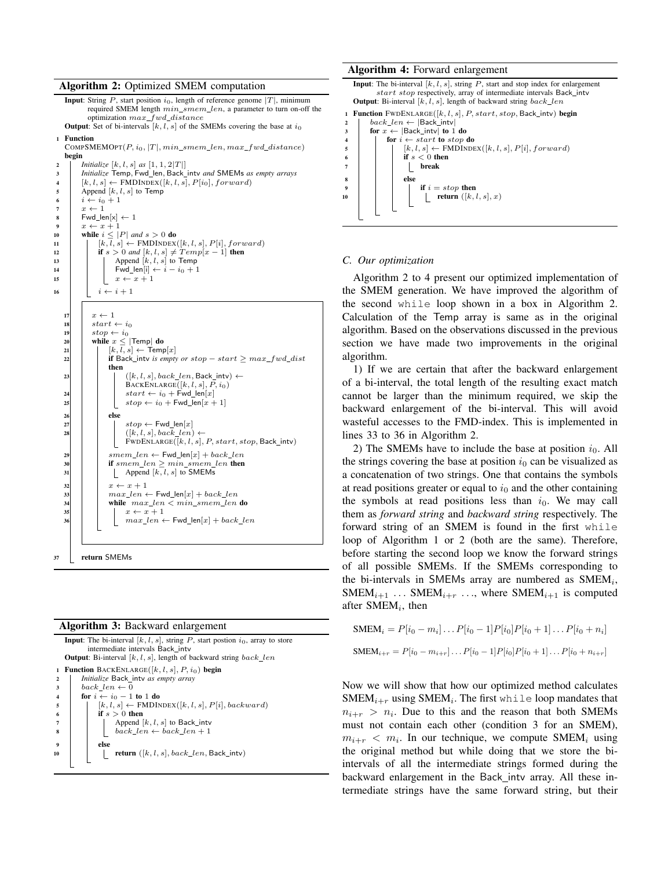#### Algorithm 2: Optimized SMEM computation



|                         | <b>Algorithm 3: Backward enlargement</b>                                                                                                                                                                     |  |  |  |  |
|-------------------------|--------------------------------------------------------------------------------------------------------------------------------------------------------------------------------------------------------------|--|--|--|--|
|                         | <b>Input</b> : The bi-interval [k, l, s], string P, start postion $i_0$ , array to store<br>intermediate intervals Back inty<br><b>Output</b> : Bi-interval [k, l, s], length of backward string $back\_len$ |  |  |  |  |
| 1                       | <b>Function</b> BACKENLARGE([k, l, s], P, i <sub>0</sub> ) begin                                                                                                                                             |  |  |  |  |
| $\overline{\mathbf{c}}$ | Initialize Back_intv as empty array                                                                                                                                                                          |  |  |  |  |
| 3                       | back $len \leftarrow 0$                                                                                                                                                                                      |  |  |  |  |
| $\overline{\mathbf{4}}$ | for $i \leftarrow i_0 - 1$ to 1 do                                                                                                                                                                           |  |  |  |  |
| 5                       | $[k, l, s] \leftarrow \text{FMDINDEX}([k, l, s], P[i], \text{backward})$                                                                                                                                     |  |  |  |  |
| 6                       | if $s > 0$ then                                                                                                                                                                                              |  |  |  |  |
| 7                       | Append $[k, l, s]$ to Back_intv<br>back_len $\leftarrow$ back_len + 1                                                                                                                                        |  |  |  |  |
| 8                       |                                                                                                                                                                                                              |  |  |  |  |
| 9                       | else                                                                                                                                                                                                         |  |  |  |  |
| 10                      | return $([k, l, s], back\_len, Back\_intv)$                                                                                                                                                                  |  |  |  |  |

#### Algorithm 4: Forward enlargement

Input: The bi-interval  $[k, l, s]$ , string  $P$ , start and stop index for enlargement  $start\ stop$  respectively, array of intermediate intervals Back\_intv **Output**: Bi-interval  $[k, l, s]$ , length of backward string  $back\_len$ 

```
1 Function \text{FWDENLARGE}([k,l,s], P, start, stop, Back\_intv) begin
2 back len \leftarrow |Back intv|
3 for x \leftarrow |\text{Back} \text{ intv}| to 1 do
4 for i \leftarrow start to stop do
 5 [k, l, s] \leftarrow \text{FMDINDEX}([k, l, s], P[i], forward)<br>
if s < 0 then
7 | | | <u>|</u> break
8 | | | else
9 if i = stop then<br>
\begin{array}{|c|c|c|c|c|} \hline 9 & & \text{if } i = stop then<br>
\hline \text{return } ([k, j]) \hline \end{array}\left[\quad \textbf{return}\;([k,l,s],x)\right]
```
# *C. Our optimization*

Algorithm 2 to 4 present our optimized implementation of the SMEM generation. We have improved the algorithm of the second while loop shown in a box in Algorithm 2. Calculation of the Temp array is same as in the original algorithm. Based on the observations discussed in the previous section we have made two improvements in the original algorithm.

1) If we are certain that after the backward enlargement of a bi-interval, the total length of the resulting exact match cannot be larger than the minimum required, we skip the backward enlargement of the bi-interval. This will avoid wasteful accesses to the FMD-index. This is implemented in lines 33 to 36 in Algorithm 2.

2) The SMEMs have to include the base at position  $i_0$ . All the strings covering the base at position  $i_0$  can be visualized as a concatenation of two strings. One that contains the symbols at read positions greater or equal to  $i_0$  and the other containing the symbols at read positions less than  $i_0$ . We may call them as *forward string* and *backward string* respectively. The forward string of an SMEM is found in the first while loop of Algorithm 1 or 2 (both are the same). Therefore, before starting the second loop we know the forward strings of all possible SMEMs. If the SMEMs corresponding to the bi-intervals in SMEMs array are numbered as  $SMEM_i$ ,  $SMEM_{i+1} \ldots$  SMEM<sub>i+r</sub> ..., where SMEM<sub>i+1</sub> is computed after  $SMEM<sub>i</sub>$ , then

SMEM<sub>i</sub> = 
$$
P[i_0 - m_i] ... P[i_0 - 1]P[i_0]P[i_0 + 1] ... P[i_0 + n_i]
$$

$$
SMEM_{i+r} = P[i_0 - m_{i+r}] \dots P[i_0 - 1]P[i_0]P[i_0 + 1] \dots P[i_0 + n_{i+r}]
$$

Now we will show that how our optimized method calculates  $SMEM_{i+r}$  using  $SMEM_i$ . The first while loop mandates that  $n_{i+r} > n_i$ . Due to this and the reason that both SMEMs must not contain each other (condition 3 for an SMEM),  $m_{i+r} < m_i$ . In our technique, we compute SMEM<sub>i</sub> using the original method but while doing that we store the biintervals of all the intermediate strings formed during the backward enlargement in the Back\_intv array. All these intermediate strings have the same forward string, but their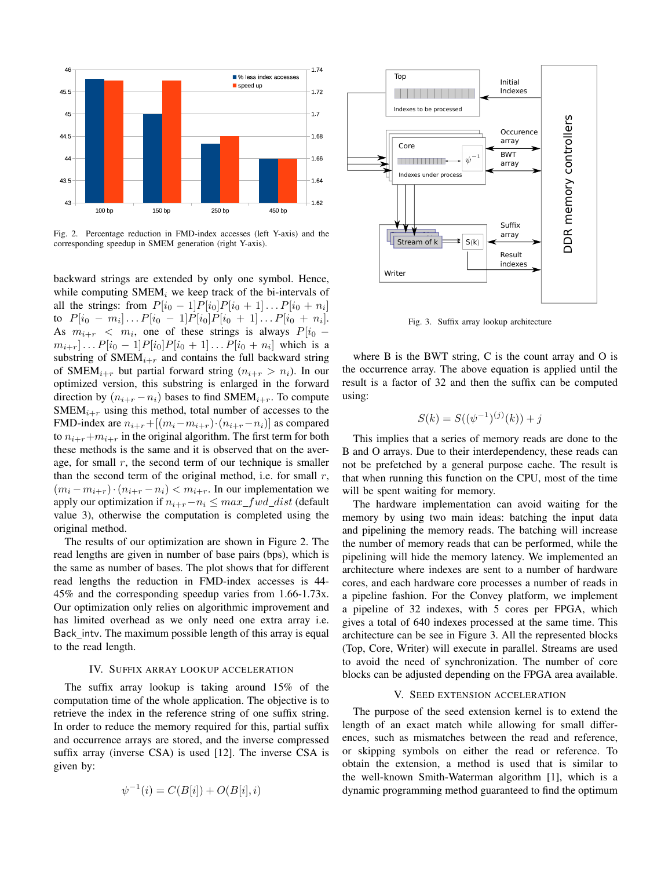

Fig. 2. Percentage reduction in FMD-index accesses (left Y-axis) and the corresponding speedup in SMEM generation (right Y-axis).

backward strings are extended by only one symbol. Hence, while computing  $SMEM_i$  we keep track of the bi-intervals of all the strings: from  $P[i_0 - 1]P[i_0]P[i_0 + 1] \dots P[i_0 + n_i]$ to  $P[i_0 - m_i] \dots P[i_0 - 1] P[i_0] P[i_0 + 1] \dots P[i_0 + n_i].$ As  $m_{i+r} < m_i$ , one of these strings is always  $P[i_0$  $m_{i+r}] \dots P[i_0-1] P[i_0] P[i_0+1] \dots P[i_0+n_i]$  which is a substring of  $SMEM_{i+r}$  and contains the full backward string of SMEM<sub>i+r</sub> but partial forward string  $(n_{i+r} > n_i)$ . In our optimized version, this substring is enlarged in the forward direction by  $(n_{i+r} - n_i)$  bases to find SMEM<sub>i+r</sub>. To compute  $SMEM_{i+r}$  using this method, total number of accesses to the FMD-index are  $n_{i+r}+[(m_i-m_{i+r})\cdot(n_{i+r}-n_i)]$  as compared to  $n_{i+r}+m_{i+r}$  in the original algorithm. The first term for both these methods is the same and it is observed that on the average, for small  $r$ , the second term of our technique is smaller than the second term of the original method, i.e. for small  $r$ ,  $(m_i - m_{i+r}) \cdot (n_{i+r} - n_i) < m_{i+r}$ . In our implementation we apply our optimization if  $n_{i+r}-n_i \leq max_fwd\_dist$  (default value 3), otherwise the computation is completed using the original method.

The results of our optimization are shown in Figure 2. The read lengths are given in number of base pairs (bps), which is the same as number of bases. The plot shows that for different read lengths the reduction in FMD-index accesses is 44- 45% and the corresponding speedup varies from 1.66-1.73x. Our optimization only relies on algorithmic improvement and has limited overhead as we only need one extra array i.e. Back\_intv. The maximum possible length of this array is equal to the read length.

# IV. SUFFIX ARRAY LOOKUP ACCELERATION

The suffix array lookup is taking around 15% of the computation time of the whole application. The objective is to retrieve the index in the reference string of one suffix string. In order to reduce the memory required for this, partial suffix and occurrence arrays are stored, and the inverse compressed suffix array (inverse CSA) is used [12]. The inverse CSA is given by:

$$
\psi^{-1}(i) = C(B[i]) + O(B[i], i)
$$



Fig. 3. Suffix array lookup architecture

where  $B$  is the BWT string,  $C$  is the count array and  $O$  is the occurrence array. The above equation is applied until the result is a factor of 32 and then the suffix can be computed using:

$$
S(k) = S((\psi^{-1})^{(j)}(k)) + j
$$

This implies that a series of memory reads are done to the B and O arrays. Due to their interdependency, these reads can not be prefetched by a general purpose cache. The result is that when running this function on the CPU, most of the time will be spent waiting for memory.

The hardware implementation can avoid waiting for the memory by using two main ideas: batching the input data and pipelining the memory reads. The batching will increase the number of memory reads that can be performed, while the pipelining will hide the memory latency. We implemented an architecture where indexes are sent to a number of hardware cores, and each hardware core processes a number of reads in a pipeline fashion. For the Convey platform, we implement a pipeline of 32 indexes, with 5 cores per FPGA, which gives a total of 640 indexes processed at the same time. This architecture can be see in Figure 3. All the represented blocks (Top, Core, Writer) will execute in parallel. Streams are used to avoid the need of synchronization. The number of core blocks can be adjusted depending on the FPGA area available.

## V. SEED EXTENSION ACCELERATION

The purpose of the seed extension kernel is to extend the length of an exact match while allowing for small differences, such as mismatches between the read and reference, or skipping symbols on either the read or reference. To obtain the extension, a method is used that is similar to the well-known Smith-Waterman algorithm [1], which is a dynamic programming method guaranteed to find the optimum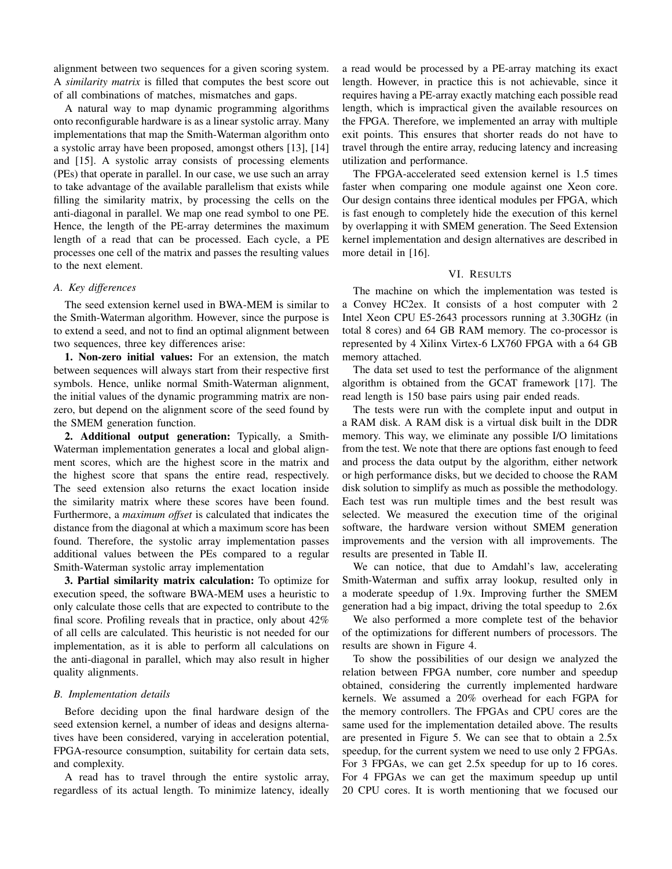alignment between two sequences for a given scoring system. A *similarity matrix* is filled that computes the best score out of all combinations of matches, mismatches and gaps.

A natural way to map dynamic programming algorithms onto reconfigurable hardware is as a linear systolic array. Many implementations that map the Smith-Waterman algorithm onto a systolic array have been proposed, amongst others [13], [14] and [15]. A systolic array consists of processing elements (PEs) that operate in parallel. In our case, we use such an array to take advantage of the available parallelism that exists while filling the similarity matrix, by processing the cells on the anti-diagonal in parallel. We map one read symbol to one PE. Hence, the length of the PE-array determines the maximum length of a read that can be processed. Each cycle, a PE processes one cell of the matrix and passes the resulting values to the next element.

# *A. Key differences*

The seed extension kernel used in BWA-MEM is similar to the Smith-Waterman algorithm. However, since the purpose is to extend a seed, and not to find an optimal alignment between two sequences, three key differences arise:

1. Non-zero initial values: For an extension, the match between sequences will always start from their respective first symbols. Hence, unlike normal Smith-Waterman alignment, the initial values of the dynamic programming matrix are nonzero, but depend on the alignment score of the seed found by the SMEM generation function.

2. Additional output generation: Typically, a Smith-Waterman implementation generates a local and global alignment scores, which are the highest score in the matrix and the highest score that spans the entire read, respectively. The seed extension also returns the exact location inside the similarity matrix where these scores have been found. Furthermore, a *maximum offset* is calculated that indicates the distance from the diagonal at which a maximum score has been found. Therefore, the systolic array implementation passes additional values between the PEs compared to a regular Smith-Waterman systolic array implementation

3. Partial similarity matrix calculation: To optimize for execution speed, the software BWA-MEM uses a heuristic to only calculate those cells that are expected to contribute to the final score. Profiling reveals that in practice, only about 42% of all cells are calculated. This heuristic is not needed for our implementation, as it is able to perform all calculations on the anti-diagonal in parallel, which may also result in higher quality alignments.

## *B. Implementation details*

Before deciding upon the final hardware design of the seed extension kernel, a number of ideas and designs alternatives have been considered, varying in acceleration potential, FPGA-resource consumption, suitability for certain data sets, and complexity.

A read has to travel through the entire systolic array, regardless of its actual length. To minimize latency, ideally a read would be processed by a PE-array matching its exact length. However, in practice this is not achievable, since it requires having a PE-array exactly matching each possible read length, which is impractical given the available resources on the FPGA. Therefore, we implemented an array with multiple exit points. This ensures that shorter reads do not have to travel through the entire array, reducing latency and increasing utilization and performance.

The FPGA-accelerated seed extension kernel is 1.5 times faster when comparing one module against one Xeon core. Our design contains three identical modules per FPGA, which is fast enough to completely hide the execution of this kernel by overlapping it with SMEM generation. The Seed Extension kernel implementation and design alternatives are described in more detail in [16].

## VI. RESULTS

The machine on which the implementation was tested is a Convey HC2ex. It consists of a host computer with 2 Intel Xeon CPU E5-2643 processors running at 3.30GHz (in total 8 cores) and 64 GB RAM memory. The co-processor is represented by 4 Xilinx Virtex-6 LX760 FPGA with a 64 GB memory attached.

The data set used to test the performance of the alignment algorithm is obtained from the GCAT framework [17]. The read length is 150 base pairs using pair ended reads.

The tests were run with the complete input and output in a RAM disk. A RAM disk is a virtual disk built in the DDR memory. This way, we eliminate any possible I/O limitations from the test. We note that there are options fast enough to feed and process the data output by the algorithm, either network or high performance disks, but we decided to choose the RAM disk solution to simplify as much as possible the methodology. Each test was run multiple times and the best result was selected. We measured the execution time of the original software, the hardware version without SMEM generation improvements and the version with all improvements. The results are presented in Table II.

We can notice, that due to Amdahl's law, accelerating Smith-Waterman and suffix array lookup, resulted only in a moderate speedup of 1.9x. Improving further the SMEM generation had a big impact, driving the total speedup to 2.6x

We also performed a more complete test of the behavior of the optimizations for different numbers of processors. The results are shown in Figure 4.

To show the possibilities of our design we analyzed the relation between FPGA number, core number and speedup obtained, considering the currently implemented hardware kernels. We assumed a 20% overhead for each FGPA for the memory controllers. The FPGAs and CPU cores are the same used for the implementation detailed above. The results are presented in Figure 5. We can see that to obtain a 2.5x speedup, for the current system we need to use only 2 FPGAs. For 3 FPGAs, we can get 2.5x speedup for up to 16 cores. For 4 FPGAs we can get the maximum speedup up until 20 CPU cores. It is worth mentioning that we focused our